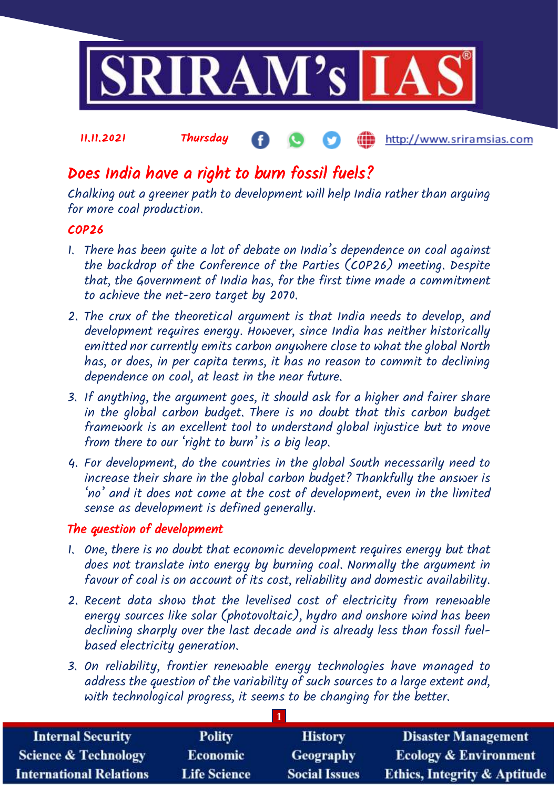

### 11.11.2021 Thursday http://www.sriramsias.com

# Does India have a right to burn fossil fuels?

Chalking out a greener path to development will help India rather than arguing for more coal production.

## COP26

- 1. There has been quite a lot of debate on India's dependence on coal against the backdrop of the Conference of the Parties (COP26) meeting. Despite that, the Government of India has, for the first time made a commitment to achieve the net-zero target by 2070.
- 2. The crux of the theoretical argument is that India needs to develop, and development requires energy. However, since India has neither historically emitted nor currently emits carbon anywhere close to what the global North has, or does, in per capita terms, it has no reason to commit to declining dependence on coal, at least in the near future.
- 3. If anything, the argument goes, it should ask for a higher and fairer share in the global carbon budget. There is no doubt that this carbon budget framework is an excellent tool to understand global injustice but to move from there to our 'right to burn' is a big leap.
- 4. For development, do the countries in the global South necessarily need to increase their share in the global carbon budget? Thankfully the answer is 'no' and it does not come at the cost of development, even in the limited sense as development is defined generally.

### The question of development

- 1. One, there is no doubt that economic development requires energy but that does not translate into energy by burning coal. Normally the argument in favour of coal is on account of its cost, reliability and domestic availability.
- 2. Recent data show that the levelised cost of electricity from renewable energy sources like solar (photovoltaic), hydro and onshore wind has been declining sharply over the last decade and is already less than fossil fuelbased electricity generation.
- 3. On reliability, frontier renewable energy technologies have managed to address the question of the variability of such sources to a large extent and, with technological progress, it seems to be changing for the better.

| <b>Internal Security</b>        | <b>Polity</b>       | <b>History</b>       | <b>Disaster Management</b>              |  |  |  |
|---------------------------------|---------------------|----------------------|-----------------------------------------|--|--|--|
| <b>Science &amp; Technology</b> | <b>Economic</b>     | Geography            | <b>Ecology &amp; Environment</b>        |  |  |  |
| <b>International Relations</b>  | <b>Life Science</b> | <b>Social Issues</b> | <b>Ethics, Integrity &amp; Aptitude</b> |  |  |  |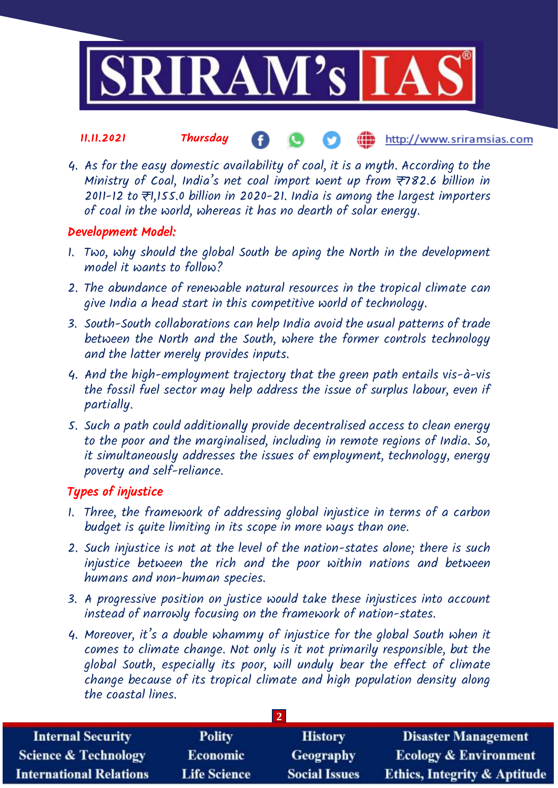

#### 11.11.2021 Thursday http://www.sriramsias.com

4. As for the easy domestic availability of coal, it is a myth. According to the Ministry of Coal, India's net coal import went up from  $\overline{z}$ 782.6 billion in 2011-12 to ₹1,155.0 billion in 2020-21. India is among the largest importers of coal in the world, whereas it has no dearth of solar energy.

### Development Model:

- 1. Two, why should the global South be aping the North in the development model it wants to follow?
- 2. The abundance of renewable natural resources in the tropical climate can give India a head start in this competitive world of technology.
- 3. South-South collaborations can help India avoid the usual patterns of trade between the North and the South, where the former controls technology and the latter merely provides inputs.
- 4. And the high-employment trajectory that the green path entails vis-à-vis the fossil fuel sector may help address the issue of surplus labour, even if partially.
- 5. Such a path could additionally provide decentralised access to clean energy to the poor and the marginalised, including in remote regions of India. So, it simultaneously addresses the issues of employment, technology, energy poverty and self-reliance.

## Types of injustice

- 1. Three, the framework of addressing global injustice in terms of a carbon budget is quite limiting in its scope in more ways than one.
- 2. Such injustice is not at the level of the nation-states alone; there is such injustice between the rich and the poor within nations and between humans and non-human species.
- 3. A progressive position on justice would take these injustices into account instead of narrowly focusing on the framework of nation-states.
- 4. Moreover, it's a double whammy of injustice for the global South when it comes to climate change. Not only is it not primarily responsible, but the global South, especially its poor, will unduly bear the effect of climate change because of its tropical climate and high population density along the coastal lines.

| <b>Internal Security</b>        | <b>Polity</b>       | <b>History</b>       | <b>Disaster Management</b>              |  |  |  |
|---------------------------------|---------------------|----------------------|-----------------------------------------|--|--|--|
| <b>Science &amp; Technology</b> | <b>Economic</b>     | Geography            | <b>Ecology &amp; Environment</b>        |  |  |  |
| <b>International Relations</b>  | <b>Life Science</b> | <b>Social Issues</b> | <b>Ethics, Integrity &amp; Aptitude</b> |  |  |  |